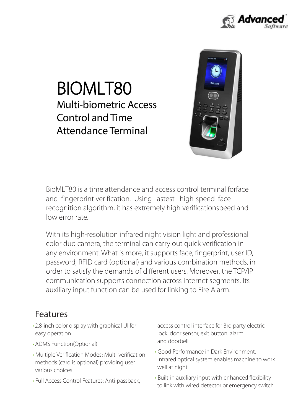

# Attendance Terminal Control and Time Multi-biometric Access BIOMLT80



low error rate. recognition algorithm, it has extremely high verificationspeed and and fingerprint verification. Using lastest high-speed face BioMLT80 is a time attendance and access control terminal forface

auxiliary input function can be used for linking to Fire Alarm. communication supports connection across internet segments. Its order to satisfy the demands of different users. Moreover, the TCP/IP password, RFID card (optional) and various combination methods, in any environment. What is more, it supports face, fingerprint, user ID, color duo camera, the terminal can carry out quick verification in With its high-resolution infrared night vision light and professional

### Features

- • 2.8-inch color display with graphical UI for easy operation
- ADMS Function(Optional)
- Multiple Verification Modes: Multi-verification methods (card is optional) providing user various choices
- • Full Access Control Features: Anti-passback,

access control interface for 3rd party electric lock, door sensor, exit button, alarm and doorbell

- Good Performance in Dark Environment, Infrared optical system enables machine to work well at night
- Built-in auxiliary input with enhanced flexibility to link with wired detector or emergency switch